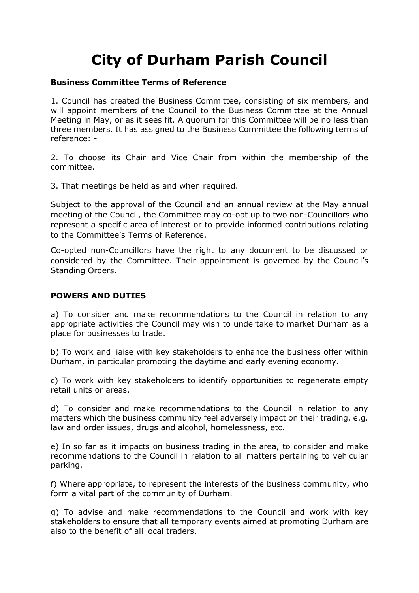## **City of Durham Parish Council**

## **Business Committee Terms of Reference**

1. Council has created the Business Committee, consisting of six members, and will appoint members of the Council to the Business Committee at the Annual Meeting in May, or as it sees fit. A quorum for this Committee will be no less than three members. It has assigned to the Business Committee the following terms of reference: -

2. To choose its Chair and Vice Chair from within the membership of the committee.

3. That meetings be held as and when required.

Subject to the approval of the Council and an annual review at the May annual meeting of the Council, the Committee may co-opt up to two non-Councillors who represent a specific area of interest or to provide informed contributions relating to the Committee's Terms of Reference.

Co-opted non-Councillors have the right to any document to be discussed or considered by the Committee. Their appointment is governed by the Council's Standing Orders.

## **POWERS AND DUTIES**

a) To consider and make recommendations to the Council in relation to any appropriate activities the Council may wish to undertake to market Durham as a place for businesses to trade.

b) To work and liaise with key stakeholders to enhance the business offer within Durham, in particular promoting the daytime and early evening economy.

c) To work with key stakeholders to identify opportunities to regenerate empty retail units or areas.

d) To consider and make recommendations to the Council in relation to any matters which the business community feel adversely impact on their trading, e.g. law and order issues, drugs and alcohol, homelessness, etc.

e) In so far as it impacts on business trading in the area, to consider and make recommendations to the Council in relation to all matters pertaining to vehicular parking.

f) Where appropriate, to represent the interests of the business community, who form a vital part of the community of Durham.

g) To advise and make recommendations to the Council and work with key stakeholders to ensure that all temporary events aimed at promoting Durham are also to the benefit of all local traders.